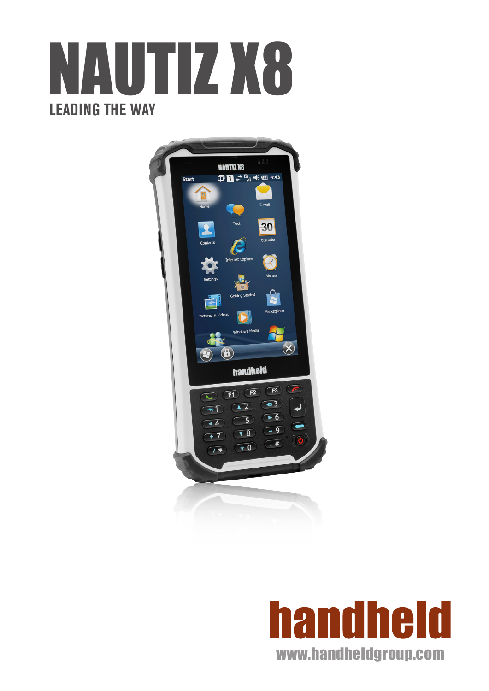